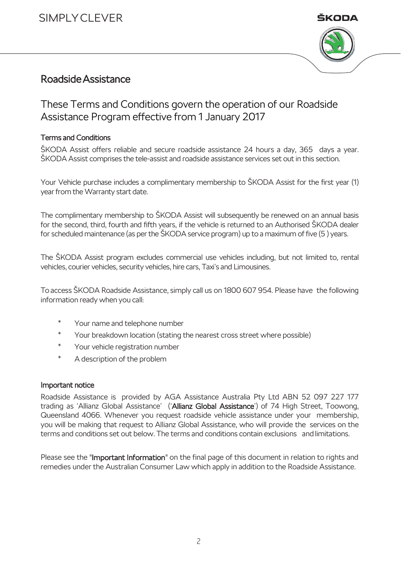



# Roadside Assistance

These Terms and Conditions govern the operation of our Roadside Assistance Program effective from 1 January 2017

# Terms and Conditions

ŠKODA Assist offers reliable and secure roadside assistance 24 hours a day, 365 days a year. ŠKODA Assist comprises the tele-assist and roadside assistance services set out in this section.

Your Vehicle purchase includes a complimentary membership to ŠKODA Assist for the first year (1) year from the Warranty start date.

The complimentary membership to ŠKODA Assist will subsequently be renewed on an annual basis for the second, third, fourth and fifth years, if the vehicle is returned to an Authorised ŠKODA dealer for scheduled maintenance (as per the ŠKODA service program) up to a maximum of five (5 ) years.

The ŠKODA Assist program excludes commercial use vehicles including, but not limited to, rental vehicles, courier vehicles, security vehicles, hire cars, Taxi's and Limousines.

To access ŠKODA Roadside Assistance, simply call us on 1800 607 954. Please have the following information ready when you call:

- \* Your name and telephone number
- Your breakdown location (stating the nearest cross street where possible)
- \* Your vehicle registration number
- \* A description of the problem

#### Important notice

Roadside Assistance is provided by AGA Assistance Australia Pty Ltd ABN 52 097 227 177 trading as 'Allianz Global Assistance' ('Allianz Global Assistance') of 74 High Street, Toowong, Queensland 4066. Whenever you request roadside vehicle assistance under your membership, you will be making that request to Allianz Global Assistance, who will provide the services on the terms and conditions set out below. The terms and conditions contain exclusions and limitations.

Please see the "Important Information" on the final page of this document in relation to rights and remedies under the Australian Consumer Law which apply in addition to the Roadside Assistance.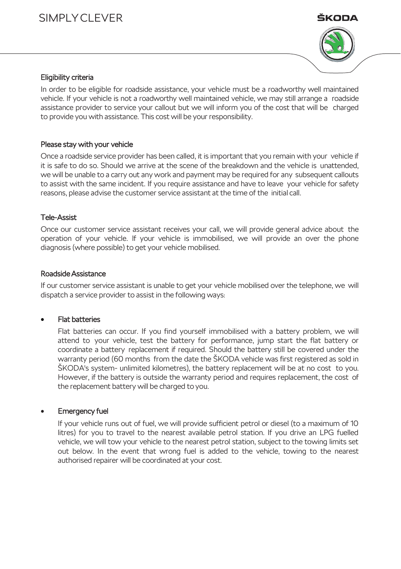



# Eligibility criteria

In order to be eligible for roadside assistance, your vehicle must be a roadworthy well maintained vehicle. If your vehicle is not a roadworthy well maintained vehicle, we may still arrange a roadside assistance provider to service your callout but we will inform you of the cost that will be charged to provide you with assistance. This cost will be your responsibility.

# Please stay with your vehicle

Once a roadside service provider has been called, it is important that you remain with your vehicle if it is safe to do so. Should we arrive at the scene of the breakdown and the vehicle is unattended, we will be unable to a carry out any work and payment may be required for any subsequent callouts to assist with the same incident. If you require assistance and have to leave your vehicle for safety reasons, please advise the customer service assistant at the time of the initial call.

## Tele-Assist

Once our customer service assistant receives your call, we will provide general advice about the operation of your vehicle. If your vehicle is immobilised, we will provide an over the phone diagnosis (where possible) to get your vehicle mobilised.

## Roadside Assistance

If our customer service assistant is unable to get your vehicle mobilised over the telephone, we will dispatch a service provider to assist in the following ways:

## Flat batteries

Flat batteries can occur. If you find yourself immobilised with a battery problem, we will attend to your vehicle, test the battery for performance, jump start the flat battery or coordinate a battery replacement if required. Should the battery still be covered under the warranty period (60 months from the date the ŠKODA vehicle was first registered as sold in ŠKODA's system- unlimited kilometres), the battery replacement will be at no cost to you. However, if the battery is outside the warranty period and requires replacement, the cost of the replacement battery will be charged to you.

## Emergency fuel

If your vehicle runs out of fuel, we will provide sufficient petrol or diesel (to a maximum of 10 litres) for you to travel to the nearest available petrol station. If you drive an LPG fuelled vehicle, we will tow your vehicle to the nearest petrol station, subject to the towing limits set out below. In the event that wrong fuel is added to the vehicle, towing to the nearest authorised repairer will be coordinated at your cost.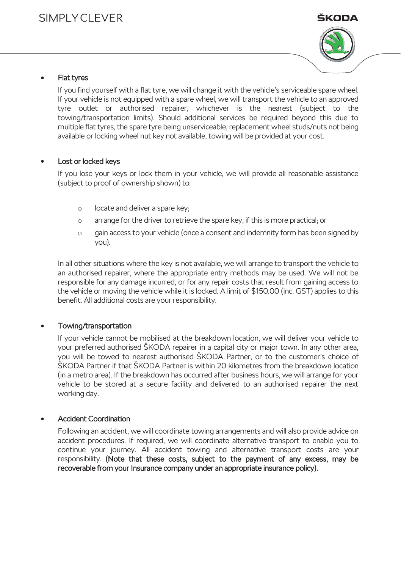

## Flat tyres

If you find yourself with a flat tyre, we will change it with the vehicle's serviceable spare wheel. If your vehicle is not equipped with a spare wheel, we will transport the vehicle to an approved tyre outlet or authorised repairer, whichever is the nearest (subject to the towing/transportation limits). Should additional services be required beyond this due to multiple flat tyres, the spare tyre being unserviceable, replacement wheel studs/nuts not being available or locking wheel nut key not available, towing will be provided at your cost.

#### Lost or locked keys

If you lose your keys or lock them in your vehicle, we will provide all reasonable assistance (subject to proof of ownership shown) to:

- o locate and deliver a spare key;
- o arrange for the driver to retrieve the spare key, if this is more practical; or
- $\circ$  gain access to your vehicle (once a consent and indemnity form has been signed by you).

In all other situations where the key is not available, we will arrange to transport the vehicle to an authorised repairer, where the appropriate entry methods may be used. We will not be responsible for any damage incurred, or for any repair costs that result from gaining access to the vehicle or moving the vehicle while it is locked. A limit of \$150.00 (inc. GST) applies to this benefit. All additional costs are your responsibility.

## Towing/transportation

If your vehicle cannot be mobilised at the breakdown location, we will deliver your vehicle to your preferred authorised ŠKODA repairer in a capital city or major town. In any other area, you will be towed to nearest authorised ŠKODA Partner, or to the customer's choice of ŠKODA Partner if that ŠKODA Partner is within 20 kilometres from the breakdown location (in a metro area). If the breakdown has occurred after business hours, we will arrange for your vehicle to be stored at a secure facility and delivered to an authorised repairer the next working day.

## Accident Coordination

Following an accident, we will coordinate towing arrangements and will also provide advice on accident procedures. If required, we will coordinate alternative transport to enable you to continue your journey. All accident towing and alternative transport costs are your responsibility. (Note that these costs, subject to the payment of any excess, may be recoverable from your Insurance company under an appropriate insurance policy).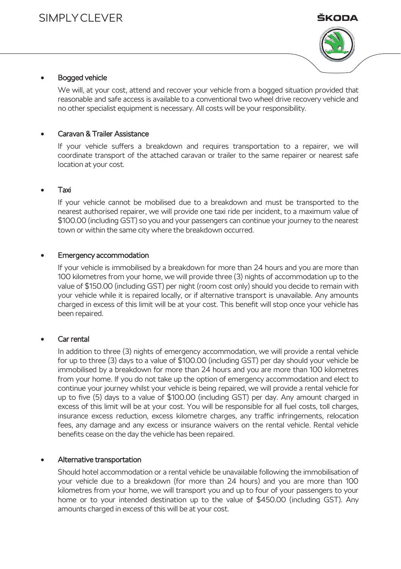



## Bogged vehicle

We will, at your cost, attend and recover your vehicle from a bogged situation provided that reasonable and safe access is available to a conventional two wheel drive recovery vehicle and no other specialist equipment is necessary. All costs will be your responsibility.

## Caravan & Trailer Assistance

If your vehicle suffers a breakdown and requires transportation to a repairer, we will coordinate transport of the attached caravan or trailer to the same repairer or nearest safe location at your cost.

## Taxi

If your vehicle cannot be mobilised due to a breakdown and must be transported to the nearest authorised repairer, we will provide one taxi ride per incident, to a maximum value of \$100.00 (including GST) so you and your passengers can continue your journey to the nearest town or within the same city where the breakdown occurred.

## Emergency accommodation

If your vehicle is immobilised by a breakdown for more than 24 hours and you are more than 100 kilometres from your home, we will provide three (3) nights of accommodation up to the value of \$150.00 (including GST) per night (room cost only) should you decide to remain with your vehicle while it is repaired locally, or if alternative transport is unavailable. Any amounts charged in excess of this limit will be at your cost. This benefit will stop once your vehicle has been repaired.

## Car rental

In addition to three (3) nights of emergency accommodation, we will provide a rental vehicle for up to three (3) days to a value of \$100.00 (including GST) per day should your vehicle be immobilised by a breakdown for more than 24 hours and you are more than 100 kilometres from your home. If you do not take up the option of emergency accommodation and elect to continue your journey whilst your vehicle is being repaired, we will provide a rental vehicle for up to five (5) days to a value of \$100.00 (including GST) per day. Any amount charged in excess of this limit will be at your cost. You will be responsible for all fuel costs, toll charges, insurance excess reduction, excess kilometre charges, any traffic infringements, relocation fees, any damage and any excess or insurance waivers on the rental vehicle. Rental vehicle benefits cease on the day the vehicle has been repaired.

#### Alternative transportation

Should hotel accommodation or a rental vehicle be unavailable following the immobilisation of your vehicle due to a breakdown (for more than 24 hours) and you are more than 100 kilometres from your home, we will transport you and up to four of your passengers to your home or to your intended destination up to the value of \$450.00 (including GST). Any amounts charged in excess of this will be at your cost.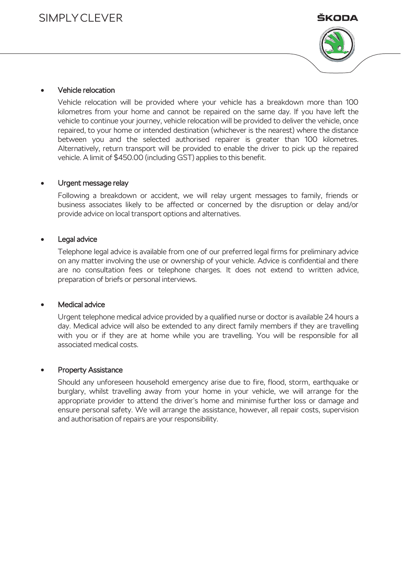

## Vehicle relocation

Vehicle relocation will be provided where your vehicle has a breakdown more than 100 kilometres from your home and cannot be repaired on the same day. If you have left the vehicle to continue your journey, vehicle relocation will be provided to deliver the vehicle, once repaired, to your home or intended destination (whichever is the nearest) where the distance between you and the selected authorised repairer is greater than 100 kilometres. Alternatively, return transport will be provided to enable the driver to pick up the repaired vehicle. A limit of \$450.00 (including GST) applies to this benefit.

#### Urgent message relay

Following a breakdown or accident, we will relay urgent messages to family, friends or business associates likely to be affected or concerned by the disruption or delay and/or provide advice on local transport options and alternatives.

#### Legal advice

Telephone legal advice is available from one of our preferred legal firms for preliminary advice on any matter involving the use or ownership of your vehicle. Advice is confidential and there are no consultation fees or telephone charges. It does not extend to written advice, preparation of briefs or personal interviews.

#### Medical advice

Urgent telephone medical advice provided by a qualified nurse or doctor is available 24 hours a day. Medical advice will also be extended to any direct family members if they are travelling with you or if they are at home while you are travelling. You will be responsible for all associated medical costs.

## Property Assistance

Should any unforeseen household emergency arise due to fire, flood, storm, earthquake or burglary, whilst travelling away from your home in your vehicle, we will arrange for the appropriate provider to attend the driver's home and minimise further loss or damage and ensure personal safety. We will arrange the assistance, however, all repair costs, supervision and authorisation of repairs are your responsibility.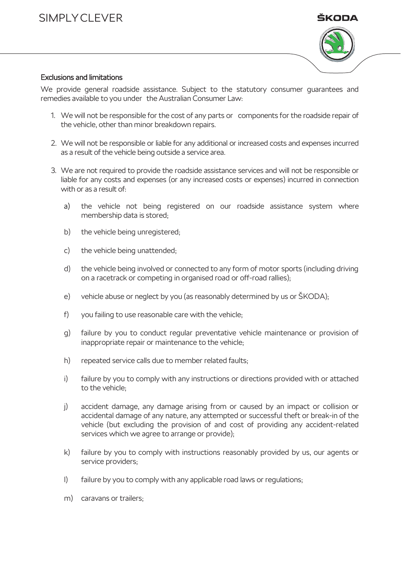



# Exclusions and limitations

We provide general roadside assistance. Subject to the statutory consumer guarantees and remedies available to you under the Australian Consumer Law:

- 1. We will not be responsible for the cost of any parts or components for the roadside repair of the vehicle, other than minor breakdown repairs.
- 2. We will not be responsible or liable for any additional or increased costs and expenses incurred as a result of the vehicle being outside a service area.
- 3. We are not required to provide the roadside assistance services and will not be responsible or liable for any costs and expenses (or any increased costs or expenses) incurred in connection with or as a result of:
	- a) the vehicle not being registered on our roadside assistance system where membership data is stored;
	- b) the vehicle being unregistered;
	- c) the vehicle being unattended;
	- d) the vehicle being involved or connected to any form of motor sports (including driving on a racetrack or competing in organised road or off-road rallies);
	- e) vehicle abuse or neglect by you (as reasonably determined by us or ŠKODA);
	- f) you failing to use reasonable care with the vehicle;
	- g) failure by you to conduct regular preventative vehicle maintenance or provision of inappropriate repair or maintenance to the vehicle;
	- h) repeated service calls due to member related faults;
	- i) failure by you to comply with any instructions or directions provided with or attached to the vehicle;
	- j) accident damage, any damage arising from or caused by an impact or collision or accidental damage of any nature, any attempted or successful theft or break-in of the vehicle (but excluding the provision of and cost of providing any accident-related services which we agree to arrange or provide);
	- k) failure by you to comply with instructions reasonably provided by us, our agents or service providers;
	- l) failure by you to comply with any applicable road laws or regulations;
	- m) caravans or trailers;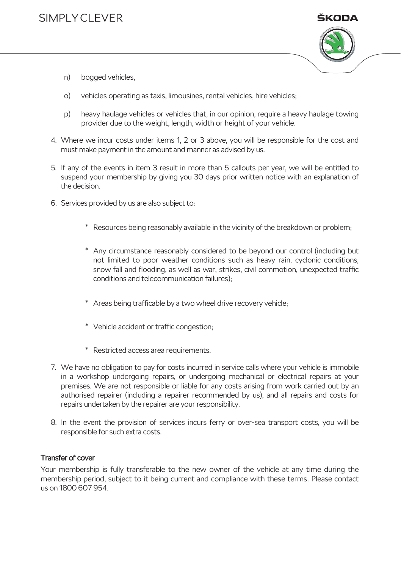

- n) bogged vehicles,
- o) vehicles operating as taxis, limousines, rental vehicles, hire vehicles;
- p) heavy haulage vehicles or vehicles that, in our opinion, require a heavy haulage towing provider due to the weight, length, width or height of your vehicle.
- 4. Where we incur costs under items 1, 2 or 3 above, you will be responsible for the cost and must make payment in the amount and manner as advised by us.
- 5. If any of the events in item 3 result in more than 5 callouts per year, we will be entitled to suspend your membership by giving you 30 days prior written notice with an explanation of the decision.
- 6. Services provided by us are also subject to:
	- \* Resources being reasonably available in the vicinity of the breakdown or problem;
	- \* Any circumstance reasonably considered to be beyond our control (including but not limited to poor weather conditions such as heavy rain, cyclonic conditions, snow fall and flooding, as well as war, strikes, civil commotion, unexpected traffic conditions and telecommunication failures);
	- \* Areas being trafficable by a two wheel drive recovery vehicle;
	- \* Vehicle accident or traffic congestion;
	- \* Restricted access area requirements.
- 7. We have no obligation to pay for costs incurred in service calls where your vehicle is immobile in a workshop undergoing repairs, or undergoing mechanical or electrical repairs at your premises. We are not responsible or liable for any costs arising from work carried out by an authorised repairer (including a repairer recommended by us), and all repairs and costs for repairs undertaken by the repairer are your responsibility.
- 8. In the event the provision of services incurs ferry or over-sea transport costs, you will be responsible for such extra costs.

#### Transfer of cover

Your membership is fully transferable to the new owner of the vehicle at any time during the membership period, subject to it being current and compliance with these terms. Please contact us on 1800 607 954.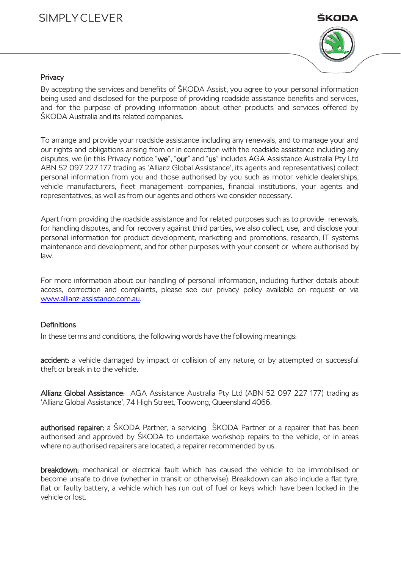# SIMPLY CLEVER



#### **Privacy**

By accepting the services and benefits of ŠKODA Assist, you agree to your personal information being used and disclosed for the purpose of providing roadside assistance benefits and services, and for the purpose of providing information about other products and services offered by ŠKODA Australia and its related companies.

To arrange and provide your roadside assistance including any renewals, and to manage your and our rights and obligations arising from or in connection with the roadside assistance including any disputes, we (in this Privacy notice "we", "our" and "us" includes AGA Assistance Australia Pty Ltd ABN 52 097 227 177 trading as 'Allianz Global Assistance', its agents and representatives) collect personal information from you and those authorised by you such as motor vehicle dealerships, vehicle manufacturers, fleet management companies, financial institutions, your agents and representatives, as well as from our agents and others we consider necessary.

Apart from providing the roadside assistance and for related purposes such as to provide renewals, for handling disputes, and for recovery against third parties, we also collect, use, and disclose your personal information for product development, marketing and promotions, research, IT systems maintenance and development, and for other purposes with your consent or where authorised by law.

For more information about our handling of personal information, including further details about access, correction and complaints, please see our privacy policy available on request or via [www.allianz-assistance.com.au.](http://www.allianz-assistance.com.au/)

## **Definitions**

In these terms and conditions, the following words have the following meanings:

accident: a vehicle damaged by impact or collision of any nature, or by attempted or successful theft or break in to the vehicle.

Allianz Global Assistance: AGA Assistance Australia Pty Ltd (ABN 52 097 227 177) trading as 'Allianz Global Assistance', 74 High Street, Toowong, Queensland 4066.

authorised repairer: a ŠKODA Partner, a servicing ŠKODA Partner or a repairer that has been authorised and approved by ŠKODA to undertake workshop repairs to the vehicle, or in areas where no authorised repairers are located, a repairer recommended by us.

**breakdown:** mechanical or electrical fault which has caused the vehicle to be immobilised or become unsafe to drive (whether in transit or otherwise). Breakdown can also include a flat tyre, flat or faulty battery, a vehicle which has run out of fuel or keys which have been locked in the vehicle or lost.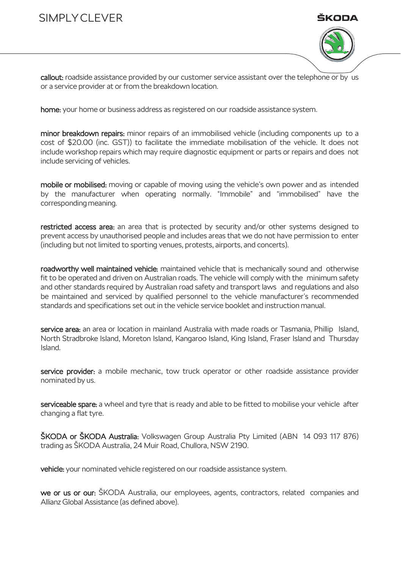# SIMPLY CLEVER



callout: roadside assistance provided by our customer service assistant over the telephone or by us or a service provider at or from the breakdown location.

home: your home or business address as registered on our roadside assistance system.

minor breakdown repairs: minor repairs of an immobilised vehicle (including components up to a cost of \$20.00 (inc. GST)) to facilitate the immediate mobilisation of the vehicle. It does not include workshop repairs which may require diagnostic equipment or parts or repairs and does not include servicing of vehicles.

mobile or mobilised: moving or capable of moving using the vehicle's own power and as intended by the manufacturer when operating normally. "Immobile" and "immobilised" have the corresponding meaning.

restricted access area: an area that is protected by security and/or other systems designed to prevent access by unauthorised people and includes areas that we do not have permission to enter (including but not limited to sporting venues, protests, airports, and concerts).

roadworthy well maintained vehicle: maintained vehicle that is mechanically sound and otherwise fit to be operated and driven on Australian roads. The vehicle will comply with the minimum safety and other standards required by Australian road safety and transport laws and regulations and also be maintained and serviced by qualified personnel to the vehicle manufacturer's recommended standards and specifications set out in the vehicle service booklet and instruction manual.

service area: an area or location in mainland Australia with made roads or Tasmania, Phillip Island, North Stradbroke Island, Moreton Island, Kangaroo Island, King Island, Fraser Island and Thursday Island.

service provider: a mobile mechanic, tow truck operator or other roadside assistance provider nominated by us.

serviceable spare: a wheel and tyre that is ready and able to be fitted to mobilise your vehicle after changing a flat tyre.

ŠKODA or ŠKODA Australia: Volkswagen Group Australia Pty Limited (ABN 14 093 117 876) trading as ŠKODA Australia, 24 Muir Road, Chullora, NSW 2190.

vehicle: your nominated vehicle registered on our roadside assistance system.

we or us or our: ŠKODA Australia, our employees, agents, contractors, related companies and Allianz Global Assistance (as defined above).